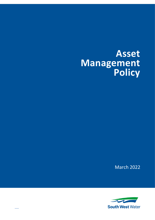# **Asset Management Policy**

March 2022



––––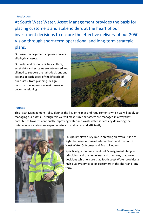Introduction

At South West Water, Asset Management provides the basis for placing customers and stakeholders at the heart of our investment decisions to ensure the effective delivery of our 2050 Vision through short-term operational and long-term strategic plans.

Our asset management approach covers all physical assets.

Our roles and responsibilities, culture, asset data and systems are integrated and aligned to support the right decisions and actions at each stage of the lifecycle of our assets: from planning, design, construction, operation, maintenance to decommissioning.



### Purpose

This Asset Management Policy defines the key principles and requirements which we will apply to managing our assets. Through this we will make sure that assets are managed in a way that contributes towards continually improving water and wastewater services by delivering the outcomes our customers expect – safely, sustainably, and efficiently.



This policy plays a key role in creating an overall 'Line of Sight' between our asset interventions and the South West Water Outcomes and Board Pledges.

Specifically, it outlines the Asset Management lifecycle principles, and the guidelines and practices, that govern decisions which ensure that South West Water provides a high-quality service to its customers in the short and long term.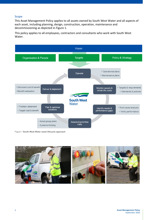## Scope

This Asset Management Policy applies to all assets owned by South West Water and all aspects of each asset, including planning, design, construction, operation, maintenance and decommissioning as depicted in Figure 1.

This policy applies to all employees, contractors and consultants who work with South West Water.



Figure 1 **South West Water asset lifecycle approach**

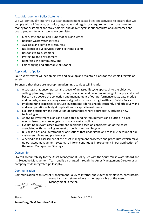## Asset Management Policy Statement

We will continually improve our asset management capabilities and activities to ensure that we comply with all financial, technical, legislative and regulatory requirements; ensure value for money for customers and stakeholders; and deliver against our organisational outcomes and board pledges, to which we have committed:

- Clean, safe and reliable supply of drinking water
- Reliable wastewater services
- Available and sufficient resources
- Resilience of our services during extreme events
- Responsive to customers
- Protecting the environment
- Benefiting the community, and:
- Fair charging and affordable bills for all.

## Application of policy

South West Water will set objectives and develop and maintain plans for the whole lifecycle of assets.

To ensure that these are appropriate planning activities will include:

- 1. A strategy that encompasses all aspects of an asset lifecycle approach to the objective setting, planning, design, construction, operation and decommissioning of our physical asset base. It also covers the collection and management of our performance data, data models and records, as well as being closely aligned with our existing Health and Safety Policy.
- 2. Implementing processes to ensure investments address needs efficiently and effectively and address operational budget implications of capital investments.
- 3. Exploring efficiency and innovation opportunities where appropriate, including new technologies.
- 4. Analysing investment plans and associated funding requirements and putting in place mechanisms to ensure long-term financial sustainability.
- 5. Evaluating relevant asset investment decisions based on consideration of the costs associated with managing an asset through its entire lifecycle.
- 6. Business plans and investment prioritisations that understand and take due account of our customers' views and preferences.
- 7. A periodic self-assessment of the asset management processes and procedures which make up our asset management system, to inform continuous improvement in our application of the Asset Management Strategy.

### Ownership

Overall accountability for the Asset Management Policy lies with the South West Water Board and its Executive Management Team and is discharged through the Asset Management Director as a company-wide integrated philosophy.

### Communication

Communication of this Asset Management Policy to internal and external employees, contractors,

consultants and stakeholders is the responsibly of the Asset Management Director.

 $\overleftrightarrow{a}$ 

Signed: Date: March 2022 **Susan Davy, Chief Executive Officer**